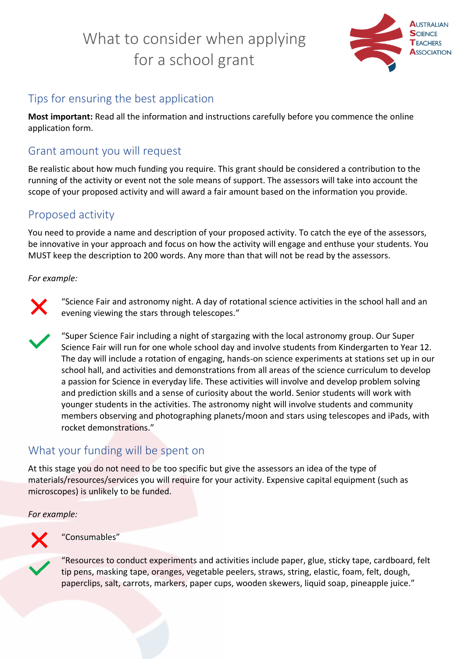# What to consider when applying for a school grant



## Tips for ensuring the best application

**Most important:** Read all the information and instructions carefully before you commence the online application form.

### Grant amount you will request

Be realistic about how much funding you require. This grant should be considered a contribution to the running of the activity or event not the sole means of support. The assessors will take into account the scope of your proposed activity and will award a fair amount based on the information you provide.

### Proposed activity

You need to provide a name and description of your proposed activity. To catch the eye of the assessors, be innovative in your approach and focus on how the activity will engage and enthuse your students. You MUST keep the description to 200 words. Any more than that will not be read by the assessors.

#### *For example:*



"Science Fair and astronomy night. A day of rotational science activities in the school hall and an evening viewing the stars through telescopes."

"Super Science Fair including a night of stargazing with the local astronomy group. Our Super Science Fair will run for one whole school day and involve students from Kindergarten to Year 12. The day will include a rotation of engaging, hands-on science experiments at stations set up in our school hall, and activities and demonstrations from all areas of the science curriculum to develop a passion for Science in everyday life. These activities will involve and develop problem solving and prediction skills and a sense of curiosity about the world. Senior students will work with younger students in the activities. The astronomy night will involve students and community members observing and photographing planets/moon and stars using telescopes and iPads, with rocket demonstrations."

## What your funding will be spent on

At this stage you do not need to be too specific but give the assessors an idea of the type of materials/resources/services you will require for your activity. Expensive capital equipment (such as microscopes) is unlikely to be funded.

*For example:* 



#### "Consumables"

"Resources to conduct experiments and activities include paper, glue, sticky tape, cardboard, felt tip pens, masking tape, oranges, vegetable peelers, straws, string, elastic, foam, felt, dough, paperclips, salt, carrots, markers, paper cups, wooden skewers, liquid soap, pineapple juice."